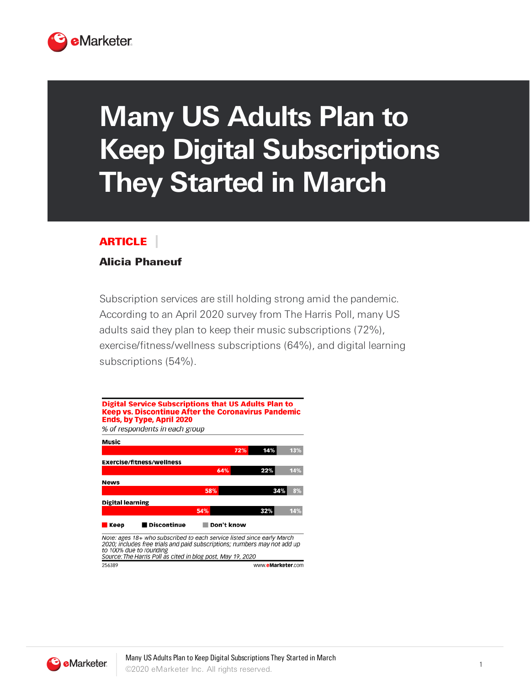

## **Many US Adults Plan to Keep Digital Subscriptions They Started in March**

## ARTICLE

## Alicia Phaneuf

Subscription services are still holding strong amid the pandemic. According to an April 2020 survey from The Harris Poll, many US adults said they plan to keep their music subscriptions (72%), exercise/fitness/wellness subscriptions (64%), and digital learning subscriptions (54%).



Source: The Harris Poll as cited in blog post, May 19, 2020 256389 www.eMarketer.com

**C** eMarketer